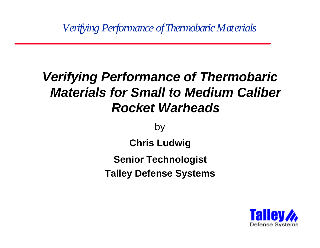*Verifying Performance of Thermobaric Materials*

# *Verifying Performance of Thermobaric Materials for Small to Medium Caliber Rocket Warheads*

by

**Chris Ludwig**

**Senior Technologist**

**Talley Defense Systems**

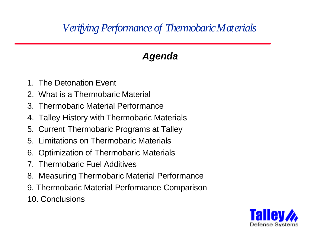## *Verifying Performance of Thermobaric Materials*

## *Agenda*

- 1. The Detonation Event
- 2. What is a Thermobaric Material
- 3. Thermobaric Material Performance
- 4. Talley History with Thermobaric Materials
- 5. Current Thermobaric Programs at Talley
- 5. Limitations on Thermobaric Materials
- 6. Optimization of Thermobaric Materials
- 7. Thermobaric Fuel Additives
- 8. Measuring Thermobaric Material Performance
- 9. Thermobaric Material Performance Comparison
- 10. Conclusions

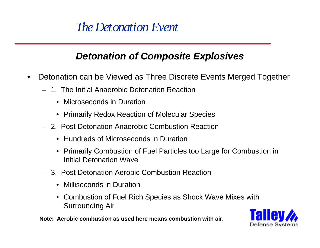# *The Detonation Event*

#### *Detonation of Composite Explosives*

- Detonation can be Viewed as Three Discrete Events Merged Together
	- 1. The Initial Anaerobic Detonation Reaction
		- Microseconds in Duration
		- Primarily Redox Reaction of Molecular Species
	- 2. Post Detonation Anaerobic Combustion Reaction
		- Hundreds of Microseconds in Duration
		- Primarily Combustion of Fuel Particles too Large for Combustion in Initial Detonation Wave
	- 3. Post Detonation Aerobic Combustion Reaction
		- Milliseconds in Duration
		- Combustion of Fuel Rich Species as Shock Wave Mixes with Surrounding Air

**Note: Aerobic combustion as used here means combustion with air.**

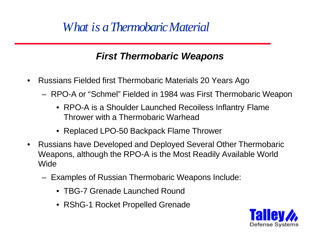# *What is a Thermobaric Material*

### *First Thermobaric Weapons*

- Russians Fielded first Thermobaric Materials 20 Years Ago
	- RPO-A or "Schmel" Fielded in 1984 was First Thermobaric Weapon
		- RPO-A is a Shoulder Launched Recoiless Inflantry Flame Thrower with a Thermobaric Warhead
		- Replaced LPO-50 Backpack Flame Thrower
- Russians have Developed and Deployed Several Other Thermobaric Weapons, although the RPO-A is the Most Readily Available World Wide
	- Examples of Russian Thermobaric Weapons Include:
		- TBG-7 Grenade Launched Round
		- RShG-1 Rocket Propelled Grenade

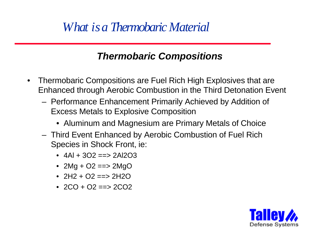# *What is a Thermobaric Material*

#### *Thermobaric Compositions*

- Thermobaric Compositions are Fuel Rich High Explosives that are Enhanced through Aerobic Combustion in the Third Detonation Event
	- Performance Enhancement Primarily Achieved by Addition of Excess Metals to Explosive Composition
		- Aluminum and Magnesium are Primary Metals of Choice
	- Third Event Enhanced by Aerobic Combustion of Fuel Rich Species in Shock Front, ie:
		- $4AI + 3O2 == > 2AI2O3$
		- $2Mg + O2 == > 2MgO$
		- $2H2 + O2 == 2H2O$
		- $2CO + O2 == 2CO2$

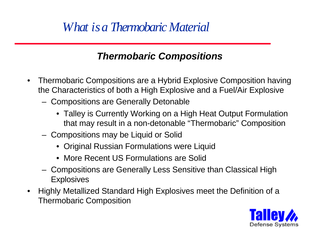# *What is a Thermobaric Material*

### *Thermobaric Compositions*

- Thermobaric Compositions are a Hybrid Explosive Composition having the Characteristics of both a High Explosive and a Fuel/Air Explosive
	- Compositions are Generally Detonable
		- Talley is Currently Working on a High Heat Output Formulation that may result in a non-detonable "Thermobaric" Composition
	- Compositions may be Liquid or Solid
		- Original Russian Formulations were Liquid
		- More Recent US Formulations are Solid
	- Compositions are Generally Less Sensitive than Classical High **Explosives**
- Highly Metallized Standard High Explosives meet the Definition of a Thermobaric Composition

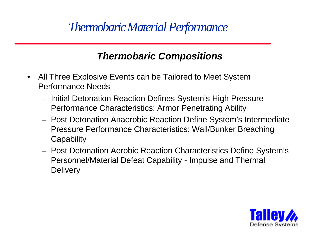# *Thermobaric Material Performance*

#### *Thermobaric Compositions*

- All Three Explosive Events can be Tailored to Meet System Performance Needs
	- Initial Detonation Reaction Defines System's High Pressure Performance Characteristics: Armor Penetrating Ability
	- Post Detonation Anaerobic Reaction Define System's Intermediate Pressure Performance Characteristics: Wall/Bunker Breaching **Capability**
	- Post Detonation Aerobic Reaction Characteristics Define System's Personnel/Material Defeat Capability - Impulse and Thermal **Delivery**

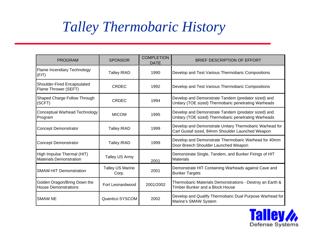# *Talley Thermobaric History*

| <b>PROGRAM</b>                                               | <b>SPONSOR</b>                   | <b>COMPLETION</b><br><b>DATE</b> | <b>BRIEF DESCRIPTION OF EFFORT</b>                                                                          |  |
|--------------------------------------------------------------|----------------------------------|----------------------------------|-------------------------------------------------------------------------------------------------------------|--|
| Flame Incendiary Technology<br>(FIT)                         | <b>Talley IRAD</b>               | 1990                             | Develop and Test Various Thermobaric Compositions                                                           |  |
| Shoulder-Fired Encapsulated<br>Flame Thrower (SEFT)          | <b>CRDEC</b>                     | 1992                             | Develop and Test Various Thermobaric Compositions                                                           |  |
| Shaped Charge Follow Through<br>(SCFT)                       | <b>CRDEC</b>                     | 1994                             | Develop and Demonstrate Tandem (predator sized) and<br>Unitary (TOE sized) Thermobaric penetrating Warheads |  |
| <b>Conceptual Warhead Technology</b><br>Program              | <b>MICOM</b>                     | 1995                             | Develop and Demonstrate Tandem (predator sized) and<br>Unitary (TOE sized) Thermobaric penetrating Warheads |  |
| <b>Concept Demonstrator</b>                                  | <b>Talley IRAD</b>               | 1999                             | Develop and Demonstrate Unitary Thermobaric Warhead for<br>Carl Gustaf sized, 84mm Shoulder Launched Weapon |  |
| <b>Concept Demonstrator</b>                                  | <b>Talley IRAD</b>               | 1999                             | Develop and Demonstrate Thermobaric Warhead for 40mm<br>Door Breech Shoulder Launched Weapon                |  |
| High Impulse Thermal (HIT)<br><b>Materials Demonstration</b> | Talley US Army                   | 2001                             | Demonstrate Single, Tandem, and Bunker Firings of HIT<br>Materials                                          |  |
| <b>SMAW-HIT Demonstration</b>                                | <b>Talley US Marine</b><br>Corp. | 2001                             | Demonstrate HIT Containing Warheads against Cave and<br><b>Bunker Targets</b>                               |  |
| Golden Dragon/Bring Down the<br><b>House Demonstrations</b>  | Fort Leonardwood                 | 2001/2002                        | Thermobaric Materials Demonstrations - Destroy an Earth &<br>Timber Bunker and a Block House                |  |
| <b>SMAW NE</b>                                               | Quantico SYSCOM                  | 2002                             | Develop and Qualify Thermobaric Dual Purpose Warhead for<br>Marine's SMAW System                            |  |

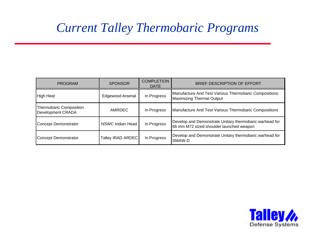# *Current Talley Thermobaric Programs*

| <b>PROGRAM</b>                                      | <b>SPONSOR</b>          | <b>COMPLETION</b><br><b>DATE</b>                                                                                   | BRIEF DESCRIPTION OF EFFORT                                                               |  |
|-----------------------------------------------------|-------------------------|--------------------------------------------------------------------------------------------------------------------|-------------------------------------------------------------------------------------------|--|
| <b>High Heat</b>                                    | <b>Edgewood Arsenal</b> | In Progress                                                                                                        | Manufacture And Test Various Thermobaric Compositions<br><b>Maximizing Thermal Output</b> |  |
| <b>Thermobaric Composition</b><br>Development CRADA | AMRDEC                  | In Progress                                                                                                        | Manufacture And Test Various Thermobaric Compositions                                     |  |
| <b>Concept Demonstrator</b>                         | NSWC Indian Head        | Develop and Demonstrate Unitary thermobaric warhead for<br>In Progress<br>66 mm M72 sized shoulder launched weapon |                                                                                           |  |
| <b>Concept Demonstrator</b>                         | Talley IRAD ARDEC       | In Progress                                                                                                        | Develop and Demonstrate Unitary thermobaric warhead for<br><b>SMAW-D</b>                  |  |

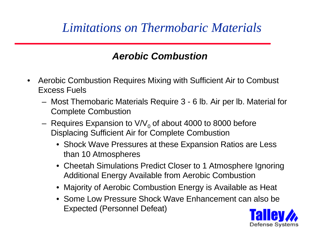# *Limitations on Thermobaric Materials*

## *Aerobic Combustion*

- Aerobic Combustion Requires Mixing with Sufficient Air to Combust Excess Fuels
	- Most Themobaric Materials Require 3 6 lb. Air per lb. Material for Complete Combustion
	- $-$  Requires Expansion to V/V $_{\rm 0}$  of about 4000 to 8000 before Displacing Sufficient Air for Complete Combustion
		- Shock Wave Pressures at these Expansion Ratios are Less than 10 Atmospheres
		- Cheetah Simulations Predict Closer to 1 Atmosphere Ignoring Additional Energy Available from Aerobic Combustion
		- Majority of Aerobic Combustion Energy is Available as Heat
		- Some Low Pressure Shock Wave Enhancement can also be Expected (Personnel Defeat)

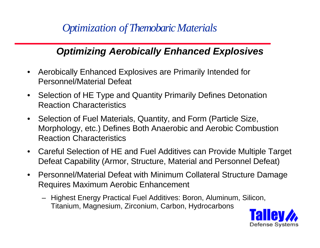*Optimization of Themobaric Materials*

### *Optimizing Aerobically Enhanced Explosives*

- Aerobically Enhanced Explosives are Primarily Intended for Personnel/Material Defeat
- Selection of HE Type and Quantity Primarily Defines Detonation Reaction Characteristics
- Selection of Fuel Materials, Quantity, and Form (Particle Size, Morphology, etc.) Defines Both Anaerobic and Aerobic Combustion Reaction Characteristics
- Careful Selection of HE and Fuel Additives can Provide Multiple Target Defeat Capability (Armor, Structure, Material and Personnel Defeat)
- Personnel/Material Defeat with Minimum Collateral Structure Damage Requires Maximum Aerobic Enhancement
	- Highest Energy Practical Fuel Additives: Boron, Aluminum, Silicon, Titanium, Magnesium, Zirconium, Carbon, Hydrocarbons

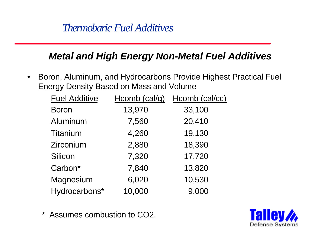## *Thermobaric Fuel Additives*

#### *Metal and High Energy Non-Metal Fuel Additives*

• Boron, Aluminum, and Hydrocarbons Provide Highest Practical Fuel Energy Density Based on Mass and Volume

| <b>Fuel Additive</b> | Hcomb $(cal/g)$ | Hcomb (cal/cc) |
|----------------------|-----------------|----------------|
| <b>Boron</b>         | 13,970          | 33,100         |
| Aluminum             | 7,560           | 20,410         |
| <b>Titanium</b>      | 4,260           | 19,130         |
| Zirconium            | 2,880           | 18,390         |
| Silicon              | 7,320           | 17,720         |
| Carbon*              | 7,840           | 13,820         |
| Magnesium            | 6,020           | 10,530         |
| Hydrocarbons*        | 10,000          | 9,000          |

\* Assumes combustion to CO2.

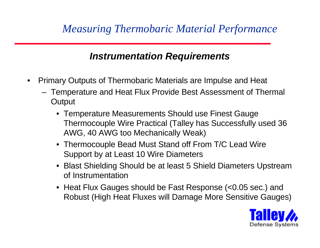## *Measuring Thermobaric Material Performance*

#### *Instrumentation Requirements*

- Primary Outputs of Thermobaric Materials are Impulse and Heat
	- Temperature and Heat Flux Provide Best Assessment of Thermal **Output** 
		- Temperature Measurements Should use Finest Gauge Thermocouple Wire Practical (Talley has Successfully used 36 AWG, 40 AWG too Mechanically Weak)
		- Thermocouple Bead Must Stand off From T/C Lead Wire Support by at Least 10 Wire Diameters
		- Blast Shielding Should be at least 5 Shield Diameters Upstream of Instrumentation
		- Heat Flux Gauges should be Fast Response (<0.05 sec.) and Robust (High Heat Fluxes will Damage More Sensitive Gauges)

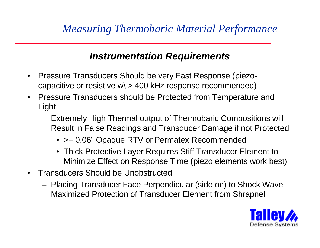#### *Instrumentation Requirements*

- Pressure Transducers Should be very Fast Response (piezocapacitive or resistive  $w \ge 400$  kHz response recommended)
- Pressure Transducers should be Protected from Temperature and Light
	- Extremely High Thermal output of Thermobaric Compositions will Result in False Readings and Transducer Damage if not Protected
		- $>= 0.06$ " Opaque RTV or Permatex Recommended
		- Thick Protective Layer Requires Stiff Transducer Element to Minimize Effect on Response Time (piezo elements work best)
- Transducers Should be Unobstructed
	- Placing Transducer Face Perpendicular (side on) to Shock Wave Maximized Protection of Transducer Element from Shrapnel

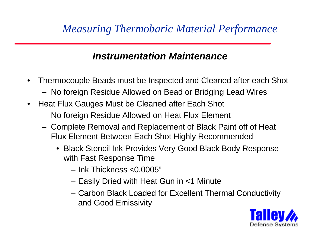## *Measuring Thermobaric Material Performance*

#### *Instrumentation Maintenance*

- Thermocouple Beads must be Inspected and Cleaned after each Shot
	- No foreign Residue Allowed on Bead or Bridging Lead Wires
- Heat Flux Gauges Must be Cleaned after Each Shot
	- No foreign Residue Allowed on Heat Flux Element
	- Complete Removal and Replacement of Black Paint off of Heat Flux Element Between Each Shot Highly Recommended
		- Black Stencil Ink Provides Very Good Black Body Response with Fast Response Time
			- Ink Thickness <0.0005"
			- Easily Dried with Heat Gun in <1 Minute
			- Carbon Black Loaded for Excellent Thermal Conductivity and Good Emissivity

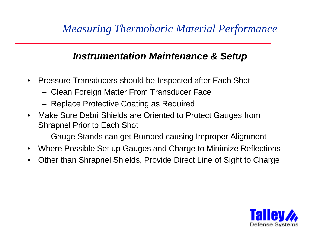## *Measuring Thermobaric Material Performance*

#### *Instrumentation Maintenance & Setup*

- Pressure Transducers should be Inspected after Each Shot
	- Clean Foreign Matter From Transducer Face
	- Replace Protective Coating as Required
- Make Sure Debri Shields are Oriented to Protect Gauges from Shrapnel Prior to Each Shot
	- Gauge Stands can get Bumped causing Improper Alignment
- Where Possible Set up Gauges and Charge to Minimize Reflections
- Other than Shrapnel Shields, Provide Direct Line of Sight to Charge

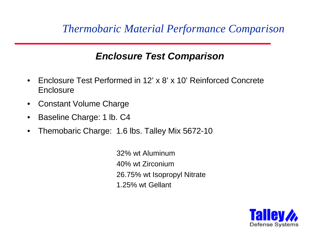#### *Enclosure Test Comparison*

- Enclosure Test Performed in 12' x 8' x 10' Reinforced Concrete **Enclosure**
- Constant Volume Charge
- Baseline Charge: 1 lb. C4
- Themobaric Charge: 1.6 lbs. Talley Mix 5672-10

 32% wt Aluminum 40% wt Zirconium 26.75% wt Isopropyl Nitrate 1.25% wt Gellant

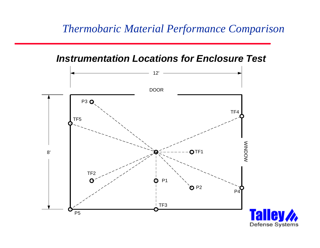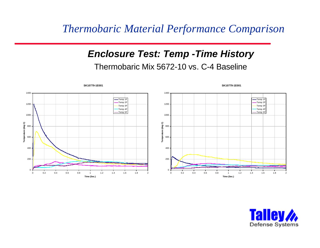#### *Enclosure Test: Temp -Time History* Thermobaric Mix 5672-10 vs. C-4 Baseline



**SK10779-1E001**

**SK10779-1E001**

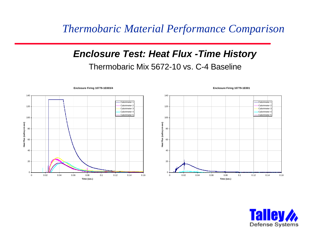#### *Enclosure Test: Heat Flux -Time History* Thermobaric Mix 5672-10 vs. C-4 Baseline



**Enclosure Firing 10779-1E003/4**

**Enclosure Firing 10779-1E001**

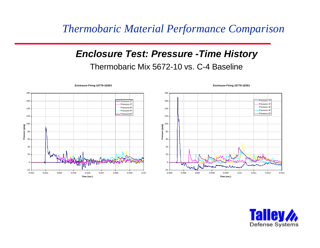#### *Enclosure Test: Pressure -Time History* Thermobaric Mix 5672-10 vs. C-4 Baseline



#### **Enclosure Firing 10779-1E003**

#### 180 160 -Pressure 1 Pressure 2F Pressure 3F 140 Pressure 4F Pressure 5F 120 100 ssure (psig) **Pressure (psig)** 80 60 40 20  $\Omega$  $-20$ 0.005 0.006 0.007 0.008 0.009 0.01 0.011 0.012 0.013 **Time (sec.)**

#### **Enclosure Firing 10779-1E001**